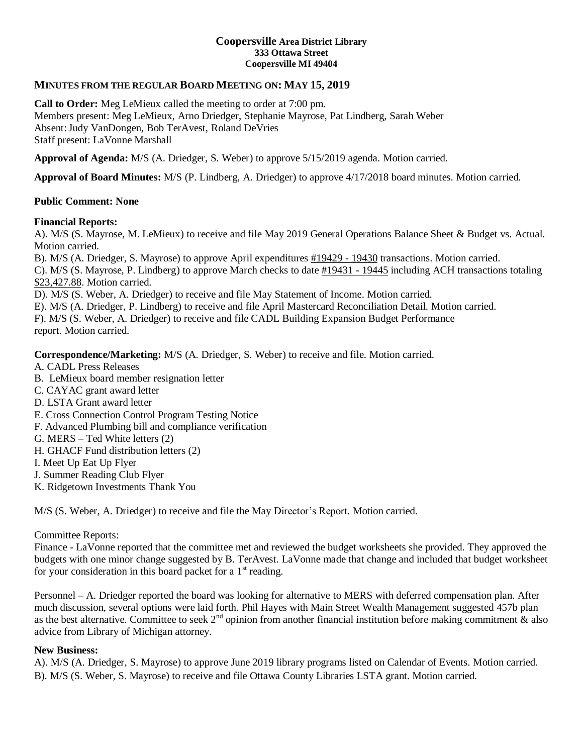### **Coopersville Area District Library 333 Ottawa Street Coopersville MI 49404**

## **MINUTES FROM THE REGULAR BOARD MEETING ON: MAY 15, 2019**

**Call to Order:** Meg LeMieux called the meeting to order at 7:00 pm. Members present: Meg LeMieux, Arno Driedger, Stephanie Mayrose, Pat Lindberg, Sarah Weber Absent:Judy VanDongen, Bob TerAvest, Roland DeVries Staff present: LaVonne Marshall

**Approval of Agenda:** M/S (A. Driedger, S. Weber) to approve 5/15/2019 agenda. Motion carried.

**Approval of Board Minutes:** M/S (P. Lindberg, A. Driedger) to approve 4/17/2018 board minutes. Motion carried.

### **Public Comment: None**

### **Financial Reports:**

A). M/S (S. Mayrose, M. LeMieux) to receive and file May 2019 General Operations Balance Sheet & Budget vs. Actual. Motion carried.

B). M/S (A. Driedger, S. Mayrose) to approve April expenditures #19429 - 19430 transactions. Motion carried.

C). M/S (S. Mayrose, P. Lindberg) to approve March checks to date #19431 - 19445 including ACH transactions totaling \$23,427.88. Motion carried.

D). M/S (S. Weber, A. Driedger) to receive and file May Statement of Income. Motion carried.

E). M/S (A. Driedger, P. Lindberg) to receive and file April Mastercard Reconciliation Detail. Motion carried.

F). M/S (S. Weber, A. Driedger) to receive and file CADL Building Expansion Budget Performance report. Motion carried.

**Correspondence/Marketing:** M/S (A. Driedger, S. Weber) to receive and file. Motion carried.

A. CADL Press Releases

B. LeMieux board member resignation letter

- C. CAYAC grant award letter
- D. LSTA Grant award letter
- E. Cross Connection Control Program Testing Notice
- F. Advanced Plumbing bill and compliance verification
- G. MERS Ted White letters (2)
- H. GHACF Fund distribution letters (2)
- I. Meet Up Eat Up Flyer

J. Summer Reading Club Flyer

K. Ridgetown Investments Thank You

M/S (S. Weber, A. Driedger) to receive and file the May Director's Report. Motion carried.

#### Committee Reports:

Finance - LaVonne reported that the committee met and reviewed the budget worksheets she provided. They approved the budgets with one minor change suggested by B. TerAvest. LaVonne made that change and included that budget worksheet for your consideration in this board packet for a  $1<sup>st</sup>$  reading.

Personnel – A. Driedger reported the board was looking for alternative to MERS with deferred compensation plan. After much discussion, several options were laid forth. Phil Hayes with Main Street Wealth Management suggested 457b plan as the best alternative. Committee to seek  $2^{nd}$  opinion from another financial institution before making commitment  $\&$  also advice from Library of Michigan attorney.

#### **New Business:**

A). M/S (A. Driedger, S. Mayrose) to approve June 2019 library programs listed on Calendar of Events. Motion carried. B). M/S (S. Weber, S. Mayrose) to receive and file Ottawa County Libraries LSTA grant. Motion carried.